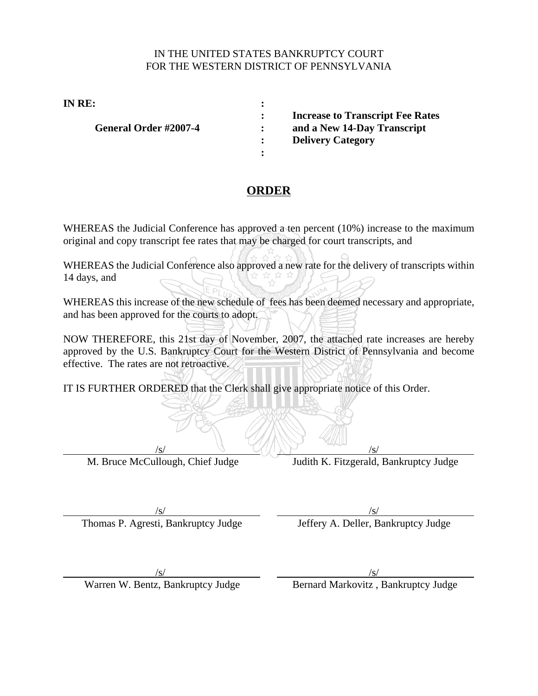## IN THE UNITED STATES BANKRUPTCY COURT FOR THE WESTERN DISTRICT OF PENNSYLVANIA

**IN RE: :**

General Order #2007-4 : and a New 14-Day Transcript

**: Increase to Transcript Fee Rates**

**: Delivery Category**

## **ORDER**

**:**

WHEREAS the Judicial Conference has approved a ten percent (10%) increase to the maximum original and copy transcript fee rates that may be charged for court transcripts, and

WHEREAS the Judicial Conference also approved a new rate for the delivery of transcripts within 14 days, and

WHEREAS this increase of the new schedule of fees has been deemed necessary and appropriate, and has been approved for the courts to adopt.

NOW THEREFORE, this 21st day of November, 2007, the attached rate increases are hereby approved by the U.S. Bankruptcy Court for the Western District of Pennsylvania and become effective. The rates are not retroactive.

IT IS FURTHER ORDERED that the Clerk shall give appropriate notice of this Order.

 $\sim$  /s/  $\sim$  /s/  $\sim$  /s/

M. Bruce McCullough, Chief Judge Judith K. Fitzgerald, Bankruptcy Judge

 $\sqrt{s}$ / $\sqrt{s}$ / $\sqrt{s}$ / $\sqrt{s}$ / $\sqrt{s}$ / $\sqrt{s}$ / $\sqrt{s}$ / $\sqrt{s}$ / $\sqrt{s}$ / $\sqrt{s}$ / $\sqrt{s}$ / $\sqrt{s}$ / $\sqrt{s}$ / $\sqrt{s}$ / $\sqrt{s}$ / $\sqrt{s}$ / $\sqrt{s}$ / $\sqrt{s}$ / $\sqrt{s}$ / $\sqrt{s}$ / $\sqrt{s}$ / $\sqrt{s}$ / $\sqrt{s}$ / $\sqrt{s}$ / $\sqrt{s}$ / $\sqrt{s}$ / $\sqrt{s}$ / $\sqrt{s}$ / $\sqrt{s}$ / $\sqrt{s}$ / $\sqrt{s}$ / $\sqrt{s$ Thomas P. Agresti, Bankruptcy Judge Jeffery A. Deller, Bankruptcy Judge

 $\sqrt{s}$ / $\sqrt{s}$ / $\sqrt{s}$ / $\sqrt{s}$ / $\sqrt{s}$ / $\sqrt{s}$ / $\sqrt{s}$ / $\sqrt{s}$ / $\sqrt{s}$ / $\sqrt{s}$ / $\sqrt{s}$ / $\sqrt{s}$ / $\sqrt{s}$ / $\sqrt{s}$ / $\sqrt{s}$ / $\sqrt{s}$ / $\sqrt{s}$ / $\sqrt{s}$ / $\sqrt{s}$ / $\sqrt{s}$ / $\sqrt{s}$ / $\sqrt{s}$ / $\sqrt{s}$ / $\sqrt{s}$ / $\sqrt{s}$ / $\sqrt{s}$ / $\sqrt{s}$ / $\sqrt{s}$ / $\sqrt{s}$ / $\sqrt{s}$ / $\sqrt{s}$ / $\sqrt{s$ 

Warren W. Bentz, Bankruptcy Judge Bernard Markovitz, Bankruptcy Judge